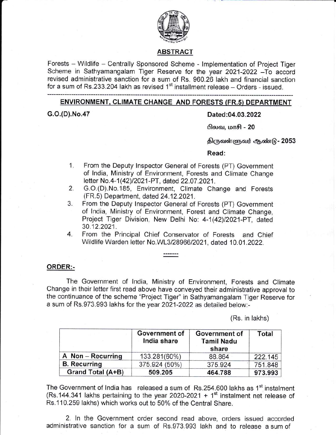

### ABSTRACT

Forests - Wildlife - Centrally Sponsored Scheme - Implementation of Project Tiger Scheme in Sathyamangalam Tiger Reserve for the year 2021-2022 - To accord revised administrative sanction for a sum of Rs. 960.26 lakh and financial sanction for a sum of Rs.233.204 lakh as revised  $1<sup>st</sup>$  installment release - Orders - issued.

## ENVIRONMENT, CLTMATE CHANGE AND FORESTS (FR.s) DEPARTMENT

# G.o.(D).No.47 Dated:04.03.2022

**பிலவ, மாசி - 20** 

திருவள்ளுவர் ஆண்டு - 2053

### Read:

- 1. From the Deputy Inspector General of Forests (PT) Government of lndia, Ministry of Environment, Forests and Climate Change letter No.4-1(42)/2021-PT, dated 22.07.2021.
- 2. G.O.(D).No.185, Environment, Climate Change and Forests (FR.5) Department, dated 24.12.2021 .
- 3. From the Deputy lnspector General of Forests (PT) Government of India, Ministry of Environment, Forest and Climate Change, Project Tiger Division, New Delhi No: 4-1(42)/2021-PT, dated 30"12.2021.
- 4. From the Principal Chief Conservator of Forests and Chief Wildlife Warden letter No.WL3/2896612021, dated 10.01 .2022.

# ORDER:-

The Government of lndia, Ministry of Environment, Forests and Climate Change in their letter first read above have conveyed their administrative approval to the continuance of the scheme "Project Tiger" in Sathyamangalam Tiger Reserve for a sum of Rs.973.993 lakhs for the year 2021-2022 as detailed below;-

(Rs. in lakhs)

|                     | Government of<br>India share | <b>Government of</b><br><b>Tamil Nadu</b><br>share | Total   |  |
|---------------------|------------------------------|----------------------------------------------------|---------|--|
| A Non - Recurring   | 133.281(60%)                 | 88.864                                             | 222.145 |  |
| <b>B.</b> Recurring | 375.924 (50%)                | 375.924                                            | 751.848 |  |
| Grand Total (A+B)   | 509.205                      | 464.788                                            | 973.993 |  |

The Government of India has released a sum of Rs.254.600 lakhs as 1<sup>st</sup> instalment (Rs.144.341 lakhs pertaining to the year 2020-2021 +  $1<sup>st</sup>$  instalment net release of Rs. 110.259 lakhs) which works out to 50% of the Central Share.

2. ln the Government order second read above, orders issued accorded administrative sanction for a sum of Rs.973.993 lakh and to release a sum of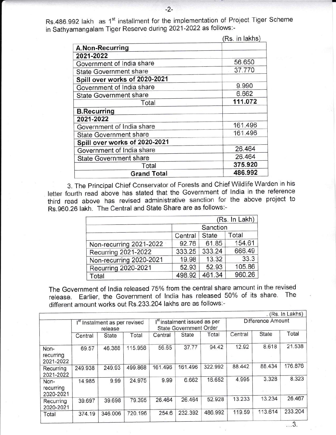Rs.486.992 lakh as 1<sup>st</sup> installment for the implementation of Project Tiger Scheme in Sathyamangalam Tiger Reserve during 2021-2022 as follows:-

|                               | (Rs. in lakhs) |
|-------------------------------|----------------|
| A.Non-Recurring               |                |
| 2021-2022                     |                |
| Government of India share     | 56.650         |
| <b>State Government share</b> | 37.770         |
| Spill over works of 2020-2021 |                |
| Government of India share     | 9.990          |
| <b>State Government share</b> | 6.662          |
| Total                         | 111.072        |
| <b>B.Recurring</b>            |                |
| 2021-2022                     |                |
| Government of India share     | 161.496        |
| <b>State Government share</b> | 161.496        |
| Spill over works of 2020-2021 |                |
| Government of India share     | 26.464         |
| <b>State Government share</b> | 26.464         |
| Total                         | 375.920        |
| <b>Grand Total</b>            | 486.992        |

3. The Principal Chief Conservator of Forests and Chief Wildlife Warden in his letter fourth read above has stated that the Government of India in the reference third read above has revised administrative sanction for the above project to Rs.960.26 lakh. The central and state share are as follows:-

|                         |          |              | (Rs. In Lakh) |  |
|-------------------------|----------|--------------|---------------|--|
|                         | Sanction |              |               |  |
|                         | Central  | <b>State</b> | Total         |  |
| Non-recurring 2021-2022 | 92.76    | 61.85        | 154.61        |  |
| Recurring 2021-2022     | 333.25   | 333.24       | 666.49        |  |
| Non-recurring 2020-2021 | 19.98    | 13.32        | 33.3          |  |
| Recurring 2020-2021     | 52.93    | 52.93        | 105.86        |  |
| Total                   | 498.92   | 461.34       | 960.26        |  |

The Government of India released 75% from the central share amount in the revised release. Earlier, the Government of lndia has released 50% of its share. The different amount works out Rs.233.204 lakhs are as follows:-

|                                |                                                      |         |                                                                           |         |                   |         |         |         | (Rs. In Lakhs)    |
|--------------------------------|------------------------------------------------------|---------|---------------------------------------------------------------------------|---------|-------------------|---------|---------|---------|-------------------|
|                                | I <sup>st</sup> Instalment as per revised<br>release |         | I <sup>st</sup> instalment issued as per<br><b>State Government Order</b> |         | Difference Amount |         |         |         |                   |
|                                | Central                                              | State   | Total                                                                     | Central | State             | Total   | Central | State   | Total             |
| Non-<br>recurring<br>2021-2022 | 69.57                                                | 46.388  | 115.958                                                                   | 56.65   | 37.77             | 94.42   | 12.92   | 8.618   | 21.538            |
| Recurring<br>2021-2022         | 249.938                                              | 249.93  | 499.868                                                                   | 161.496 | 161.496           | 322.992 | 88.442  | 88.434  | 176.876           |
| Non-<br>recurring<br>2020-2021 | 14.985                                               | 9.99    | 24.975                                                                    | 9.99    | 6.662             | 16.652  | 4.995   | 3.328   | 8.323             |
| Recurring<br>2020-2021         | 39.697                                               | 39.698  | 79.395                                                                    | 26.464  | 26.464            | 52.928  | 13.233  | 13.234  | 26.467            |
| Total                          | 374.19                                               | 346.006 | 720.196                                                                   | 254.6   | 232.392           | 486.992 | 119.59  | 113.614 | 233.204<br>$\sim$ |

...3.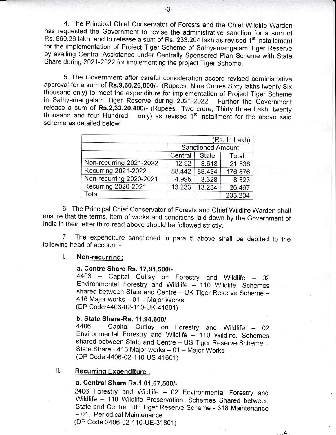4. The Principal Chief Conservator of Forests and the Chief Wildlife Warden has nequested the Government to revise the administrative sanction for a sum of Rs. 960.26 lakh and to release a sum of Rs. 233.204 lakh as revised 1<sup>st</sup> installement for the implementation of Project Tiger Scheme of Sathyamangalam Tiger Reserve by availing Central Assistance under Centrally Sponsored Plan Scheme with State Share during 2021-2022 for implementing the project Tiger Scheme.

5. The Government after careful consideration accord revised administrative approval for a sum of Rs.9,60,26,000/- (Rupees Nine Crores Sixty lakhs twenty Six thousand only) to meet the expenditure for implementation of Project Tiger Scheme in Sathyamangalam Tiger Reserve during 2021-2022. Furthei the Government release a sum of Rs.2,33,20,400/- (Rupees Two crore, Thirty three Lakh, twenty thousand and four Hundred only) as revised  $1<sup>st</sup>$  installment for the above said scheme as detailed below:-

|                         |                          |              | (Rs. In Lakh) |  |
|-------------------------|--------------------------|--------------|---------------|--|
|                         | <b>Sanctioned Amount</b> |              |               |  |
|                         | Central                  | <b>State</b> | Total         |  |
| Non-recurring 2021-2022 | 12.92                    | 8.618        | 21.538        |  |
| Recurring 2021-2022     | 88.442                   | 88.434       | 176.876       |  |
| Non-recurring 2020-2021 | 4.995                    | 3.328        | 8.323         |  |
| Recurring 2020-2021     | 13.233                   | 13.234       | 26.467        |  |
| Total                   |                          |              | 233.204       |  |

6. The Principal Chief Conservator of Forests and Chief Wildlife Warden shall ensure that the terms, item of works and conditions laid down by the Government of India in their letter third read above should be followed strictly.

7. The expenditure sanctioned in para 5 above shall be debited to the following head of account;-

## i. Non-recurring:

**a. Centre Share Rs. 17,91,500/-**<br>4406 – Capital Outlay on Forestry and Wildlife – 02 Environmental Forestry and Wildlife - 110 Wildlife. Schemes shared between State and Centre - UK Tiger Reserve Scheme -416 Major works - 01 - Major Works (DP Code:4406-02-110-UK-41601)

b. State Share-Rs. 11,94,600/-<br>4406 – Capital Outlay on Forestry and Wildlife – 02 Environmental Forestry and Wildlife - 110 Wildlife. Schemes shared between State and Centre - US Tiger Reserve Scheme -State Share - 416 Major works - 01 - Major Works (DP Code: 4406-02-110-US-41601)

# ii. Recurring Expenditure :

### a. Central Share Rs.1,01,67,500/-

2406 Forestry and Wildlife - 02 Environmental Forestry and Wildlife - 110 Wildlife Preservation. Schemes Shared between State and Centre UE Tiger Reserve Scheme - 318 Maintenance - 01. Periodical Maintenance

...4"

(DP Code:2406-02-110-UE-31801)